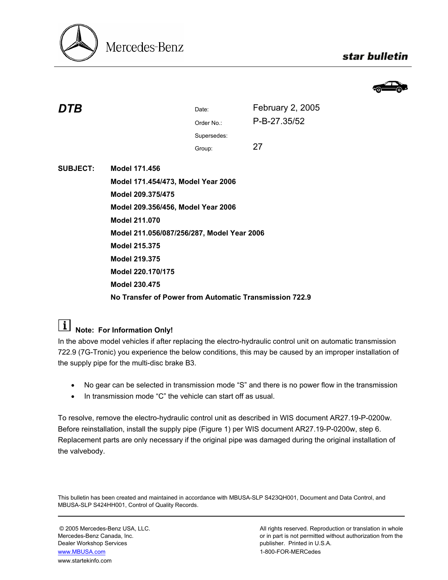

## star bulletin



| DTB             |                                                        | Date:       | February 2, 2005 |  |
|-----------------|--------------------------------------------------------|-------------|------------------|--|
|                 |                                                        | Order No.:  | P-B-27.35/52     |  |
|                 |                                                        | Supersedes: |                  |  |
|                 |                                                        | Group:      | 27               |  |
| <b>SUBJECT:</b> | Model 171.456                                          |             |                  |  |
|                 | Model 171.454/473, Model Year 2006                     |             |                  |  |
|                 | Model 209.375/475                                      |             |                  |  |
|                 | Model 209.356/456, Model Year 2006                     |             |                  |  |
|                 | <b>Model 211.070</b>                                   |             |                  |  |
|                 | Model 211.056/087/256/287, Model Year 2006             |             |                  |  |
|                 | <b>Model 215.375</b>                                   |             |                  |  |
|                 | <b>Model 219.375</b>                                   |             |                  |  |
|                 | Model 220.170/175                                      |             |                  |  |
|                 | <b>Model 230.475</b>                                   |             |                  |  |
|                 | No Transfer of Power from Automatic Transmission 722.9 |             |                  |  |
|                 |                                                        |             |                  |  |

## **Note: For Information Only!**

In the above model vehicles if after replacing the electro-hydraulic control unit on automatic transmission 722.9 (7G-Tronic) you experience the below conditions, this may be caused by an improper installation of the supply pipe for the multi-disc brake B3.

- No gear can be selected in transmission mode "S" and there is no power flow in the transmission
- In transmission mode "C" the vehicle can start off as usual.

To resolve, remove the electro-hydraulic control unit as described in WIS document AR27.19-P-0200w. Before reinstallation, install the supply pipe (Figure 1) per WIS document AR27.19-P-0200w, step 6. Replacement parts are only necessary if the original pipe was damaged during the original installation of the valvebody.

This bulletin has been created and maintained in accordance with MBUSA-SLP S423QH001, Document and Data Control, and MBUSA-SLP S424HH001, Control of Quality Records.

Dealer Workshop Services publisher. Printed in U.S.A. www.MBUSA.com 1-800-FOR-MERCedes www.startekinfo.com

© 2005 Mercedes-Benz USA, LLC. <br>Mercedes-Benz Canada, Inc. All rights reserved. Reproduction or translation in whole<br>or in part is not permitted without authorization from the or in part is not permitted without authorization from the